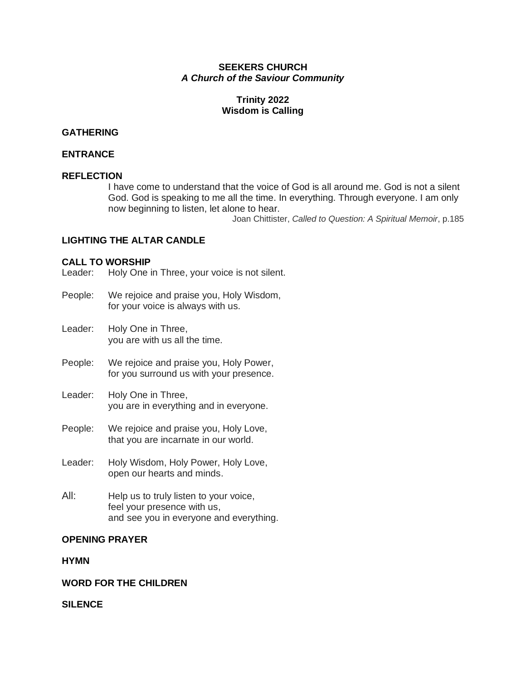#### **SEEKERS CHURCH** *A Church of the Saviour Community*

## **Trinity 2022 Wisdom is Calling**

## **GATHERING**

#### **ENTRANCE**

## **REFLECTION**

I have come to understand that the voice of God is all around me. God is not a silent God. God is speaking to me all the time. In everything. Through everyone. I am only now beginning to listen, let alone to hear.

Joan Chittister, *Called to Question: A Spiritual Memoir*, p.185

### **LIGHTING THE ALTAR CANDLE**

### **CALL TO WORSHIP**

Leader: Holy One in Three, your voice is not silent.

- People: We rejoice and praise you, Holy Wisdom, for your voice is always with us.
- Leader: Holy One in Three, you are with us all the time.
- People: We rejoice and praise you, Holy Power, for you surround us with your presence.
- Leader: Holy One in Three, you are in everything and in everyone.
- People: We rejoice and praise you, Holy Love, that you are incarnate in our world.
- Leader: Holy Wisdom, Holy Power, Holy Love, open our hearts and minds.
- All: Help us to truly listen to your voice, feel your presence with us, and see you in everyone and everything.

#### **OPENING PRAYER**

#### **HYMN**

### **WORD FOR THE CHILDREN**

**SILENCE**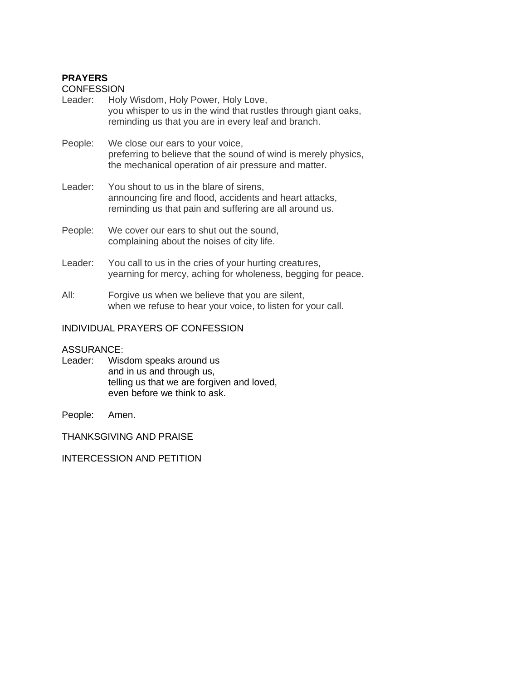# **PRAYERS**

**CONFESSION** 

- Leader: Holy Wisdom, Holy Power, Holy Love, you whisper to us in the wind that rustles through giant oaks, reminding us that you are in every leaf and branch.
- People: We close our ears to your voice, preferring to believe that the sound of wind is merely physics, the mechanical operation of air pressure and matter.
- Leader: You shout to us in the blare of sirens. announcing fire and flood, accidents and heart attacks, reminding us that pain and suffering are all around us.
- People: We cover our ears to shut out the sound, complaining about the noises of city life.
- Leader: You call to us in the cries of your hurting creatures, yearning for mercy, aching for wholeness, begging for peace.
- All: Forgive us when we believe that you are silent, when we refuse to hear your voice, to listen for your call.

## INDIVIDUAL PRAYERS OF CONFESSION

### ASSURANCE:

Leader: Wisdom speaks around us and in us and through us, telling us that we are forgiven and loved, even before we think to ask.

People: Amen.

THANKSGIVING AND PRAISE

INTERCESSION AND PETITION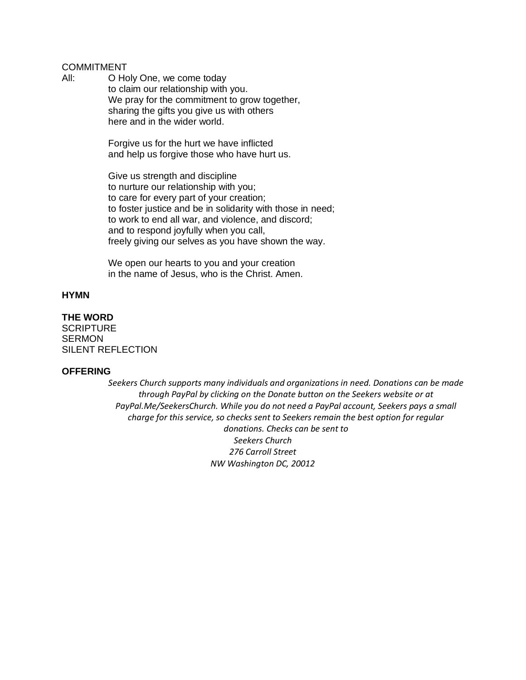## COMMITMENT

All: O Holy One, we come today to claim our relationship with you. We pray for the commitment to grow together, sharing the gifts you give us with others here and in the wider world.

> Forgive us for the hurt we have inflicted and help us forgive those who have hurt us.

Give us strength and discipline to nurture our relationship with you; to care for every part of your creation; to foster justice and be in solidarity with those in need; to work to end all war, and violence, and discord; and to respond joyfully when you call, freely giving our selves as you have shown the way.

We open our hearts to you and your creation in the name of Jesus, who is the Christ. Amen.

#### **HYMN**

# **THE WORD**

**SCRIPTURE SERMON** SILENT REFLECTION

#### **OFFERING**

*Seekers Church supports many individuals and organizations in need. Donations can be made through PayPal by clicking on the Donate button on the Seekers website or at PayPal.Me/SeekersChurch. While you do not need a PayPal account, Seekers pays a small charge for this service, so checks sent to Seekers remain the best option for regular donations. Checks can be sent to Seekers Church 276 Carroll Street NW Washington DC, 20012*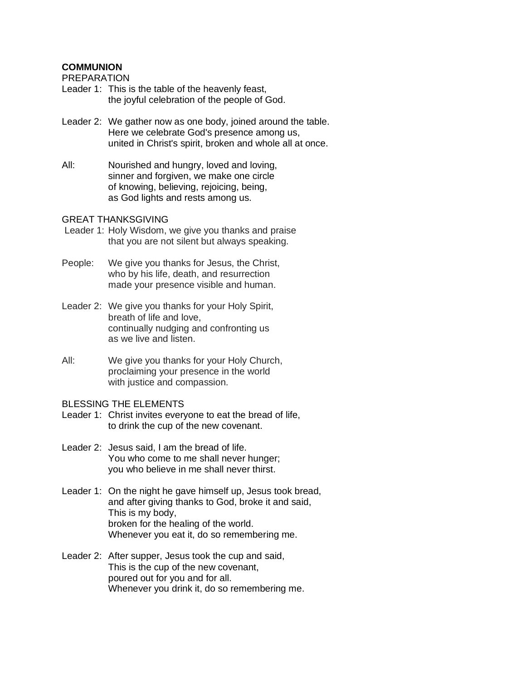## **COMMUNION**

PREPARATION

- Leader 1: This is the table of the heavenly feast, the joyful celebration of the people of God.
- Leader 2: We gather now as one body, joined around the table. Here we celebrate God's presence among us, united in Christ's spirit, broken and whole all at once.
- All: Nourished and hungry, loved and loving, sinner and forgiven, we make one circle of knowing, believing, rejoicing, being, as God lights and rests among us.

#### GREAT THANKSGIVING

- Leader 1: Holy Wisdom, we give you thanks and praise that you are not silent but always speaking.
- People: We give you thanks for Jesus, the Christ, who by his life, death, and resurrection made your presence visible and human.
- Leader 2: We give you thanks for your Holy Spirit, breath of life and love, continually nudging and confronting us as we live and listen.
- All: We give you thanks for your Holy Church, proclaiming your presence in the world with justice and compassion.

BLESSING THE ELEMENTS

- Leader 1: Christ invites everyone to eat the bread of life, to drink the cup of the new covenant.
- Leader 2: Jesus said, I am the bread of life. You who come to me shall never hunger; you who believe in me shall never thirst.
- Leader 1: On the night he gave himself up, Jesus took bread, and after giving thanks to God, broke it and said, This is my body, broken for the healing of the world. Whenever you eat it, do so remembering me.
- Leader 2: After supper, Jesus took the cup and said, This is the cup of the new covenant, poured out for you and for all. Whenever you drink it, do so remembering me.